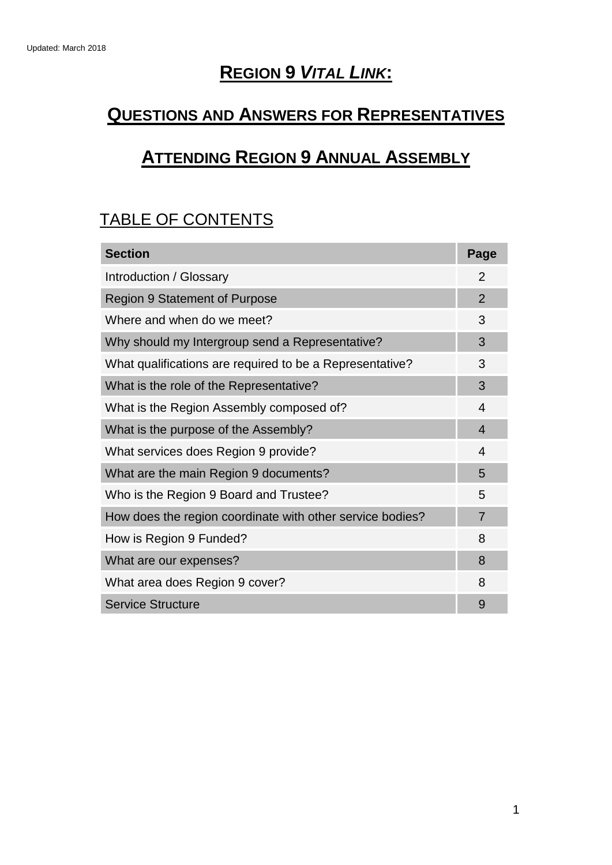## **REGION 9** *VITAL LINK***:**

## **QUESTIONS AND ANSWERS FOR REPRESENTATIVES**

# **ATTENDING REGION 9 ANNUAL ASSEMBLY**

## TABLE OF CONTENTS

| <b>Section</b>                                            | Page                     |
|-----------------------------------------------------------|--------------------------|
| Introduction / Glossary                                   |                          |
| <b>Region 9 Statement of Purpose</b>                      |                          |
| Where and when do we meet?                                | 3                        |
| Why should my Intergroup send a Representative?           | 3                        |
| What qualifications are required to be a Representative?  | 3                        |
| What is the role of the Representative?                   | 3                        |
| What is the Region Assembly composed of?                  | 4                        |
| What is the purpose of the Assembly?                      | $\overline{\mathcal{A}}$ |
| What services does Region 9 provide?                      | 4                        |
| What are the main Region 9 documents?                     | 5                        |
| Who is the Region 9 Board and Trustee?                    | 5                        |
| How does the region coordinate with other service bodies? | $\overline{7}$           |
| How is Region 9 Funded?                                   | 8                        |
| What are our expenses?                                    | 8                        |
| What area does Region 9 cover?                            | 8                        |
| <b>Service Structure</b>                                  | 9                        |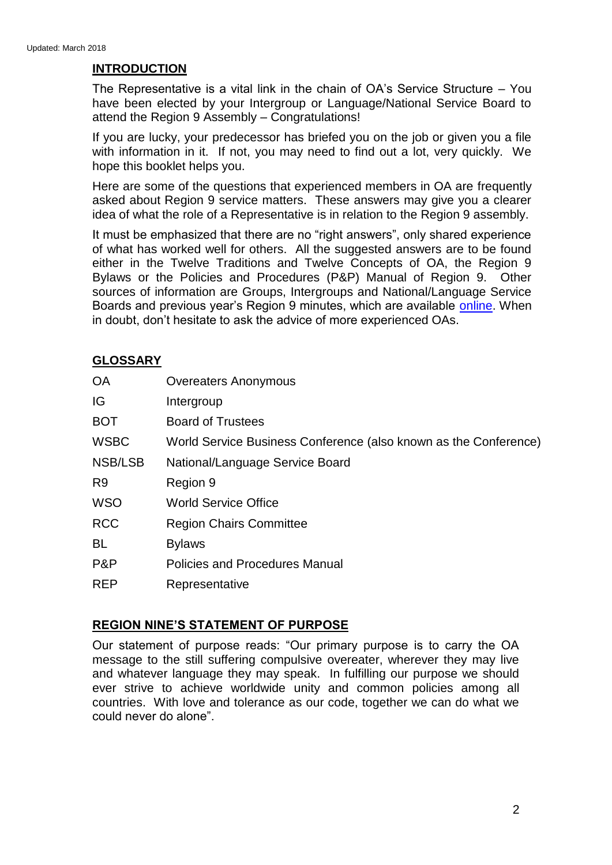## **INTRODUCTION**

The Representative is a vital link in the chain of OA's Service Structure – You have been elected by your Intergroup or Language/National Service Board to attend the Region 9 Assembly – Congratulations!

If you are lucky, your predecessor has briefed you on the job or given you a file with information in it. If not, you may need to find out a lot, very quickly. We hope this booklet helps you.

Here are some of the questions that experienced members in OA are frequently asked about Region 9 service matters. These answers may give you a clearer idea of what the role of a Representative is in relation to the Region 9 assembly.

It must be emphasized that there are no "right answers", only shared experience of what has worked well for others. All the suggested answers are to be found either in the Twelve Traditions and Twelve Concepts of OA, the Region 9 Bylaws or the Policies and Procedures (P&P) Manual of Region 9. Other sources of information are Groups, Intergroups and National/Language Service Boards and previous year's Region 9 minutes, which are available [online.](http://www.oaregion9.org/region-9-membersgroups/region-9-assembly/) When in doubt, don't hesitate to ask the advice of more experienced OAs.

## **GLOSSARY**

| <b>OA</b>      | <b>Overeaters Anonymous</b>                                      |
|----------------|------------------------------------------------------------------|
| IG             | Intergroup                                                       |
| <b>BOT</b>     | <b>Board of Trustees</b>                                         |
| <b>WSBC</b>    | World Service Business Conference (also known as the Conference) |
| NSB/LSB        | National/Language Service Board                                  |
| R <sub>9</sub> | Region 9                                                         |
| <b>WSO</b>     | <b>World Service Office</b>                                      |
| <b>RCC</b>     | <b>Region Chairs Committee</b>                                   |
| <b>BL</b>      | <b>Bylaws</b>                                                    |
| P&P            | <b>Policies and Procedures Manual</b>                            |
| <b>REP</b>     | Representative                                                   |

## **REGION NINE'S STATEMENT OF PURPOSE**

Our statement of purpose reads: "Our primary purpose is to carry the OA message to the still suffering compulsive overeater, wherever they may live and whatever language they may speak. In fulfilling our purpose we should ever strive to achieve worldwide unity and common policies among all countries. With love and tolerance as our code, together we can do what we could never do alone".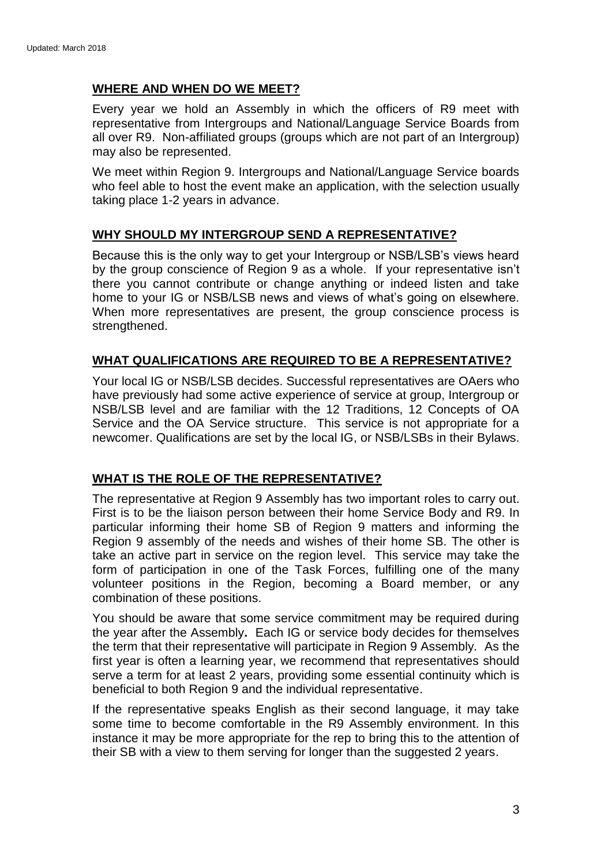### **WHERE AND WHEN DO WE MEET?**

Every year we hold an Assembly in which the officers of R9 meet with representative from Intergroups and National/Language Service Boards from all over R9. Non-affiliated groups (groups which are not part of an Intergroup) may also be represented.

We meet within Region 9. Intergroups and National/Language Service boards who feel able to host the event make an application, with the selection usually taking place 1-2 years in advance.

#### **WHY SHOULD MY INTERGROUP SEND A REPRESENTATIVE?**

Because this is the only way to get your Intergroup or NSB/LSB's views heard by the group conscience of Region 9 as a whole. If your representative isn't there you cannot contribute or change anything or indeed listen and take home to your IG or NSB/LSB news and views of what's going on elsewhere. When more representatives are present, the group conscience process is strengthened.

## **WHAT QUALIFICATIONS ARE REQUIRED TO BE A REPRESENTATIVE?**

Your local IG or NSB/LSB decides. Successful representatives are OAers who have previously had some active experience of service at group, Intergroup or NSB/LSB level and are familiar with the 12 Traditions, 12 Concepts of OA Service and the OA Service structure. This service is not appropriate for a newcomer. Qualifications are set by the local IG, or NSB/LSBs in their Bylaws.

#### **WHAT IS THE ROLE OF THE REPRESENTATIVE?**

The representative at Region 9 Assembly has two important roles to carry out. First is to be the liaison person between their home Service Body and R9. In particular informing their home SB of Region 9 matters and informing the Region 9 assembly of the needs and wishes of their home SB. The other is take an active part in service on the region level. This service may take the form of participation in one of the Task Forces, fulfilling one of the many volunteer positions in the Region, becoming a Board member, or any combination of these positions.

You should be aware that some service commitment may be required during the year after the Assembly**.** Each IG or service body decides for themselves the term that their representative will participate in Region 9 Assembly. As the first year is often a learning year, we recommend that representatives should serve a term for at least 2 years, providing some essential continuity which is beneficial to both Region 9 and the individual representative.

If the representative speaks English as their second language, it may take some time to become comfortable in the R9 Assembly environment. In this instance it may be more appropriate for the rep to bring this to the attention of their SB with a view to them serving for longer than the suggested 2 years.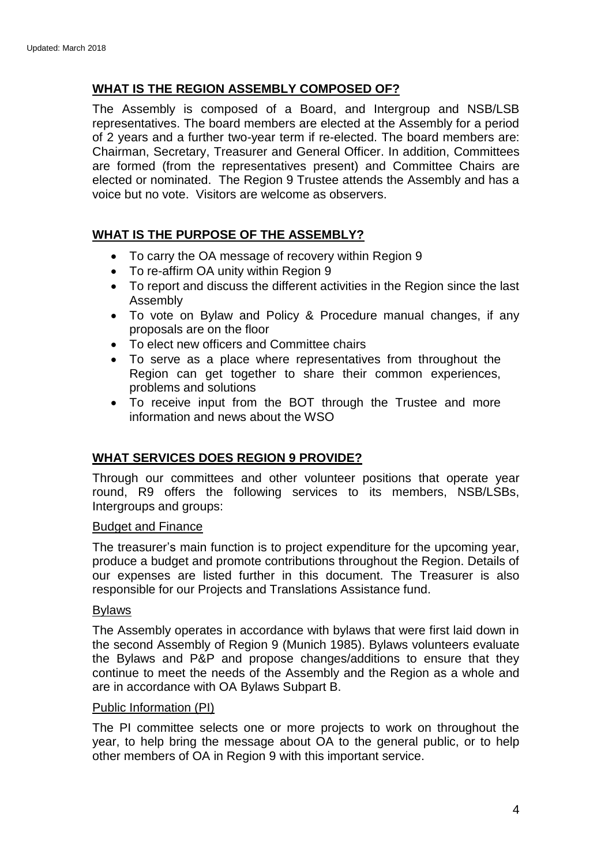## **WHAT IS THE REGION ASSEMBLY COMPOSED OF?**

The Assembly is composed of a Board, and Intergroup and NSB/LSB representatives. The board members are elected at the Assembly for a period of 2 years and a further two-year term if re-elected. The board members are: Chairman, Secretary, Treasurer and General Officer. In addition, Committees are formed (from the representatives present) and Committee Chairs are elected or nominated. The Region 9 Trustee attends the Assembly and has a voice but no vote. Visitors are welcome as observers.

## **WHAT IS THE PURPOSE OF THE ASSEMBLY?**

- To carry the OA message of recovery within Region 9
- To re-affirm OA unity within Region 9
- To report and discuss the different activities in the Region since the last Assembly
- To vote on Bylaw and Policy & Procedure manual changes, if any proposals are on the floor
- To elect new officers and Committee chairs
- To serve as a place where representatives from throughout the Region can get together to share their common experiences, problems and solutions
- To receive input from the BOT through the Trustee and more information and news about the WSO

## **WHAT SERVICES DOES REGION 9 PROVIDE?**

Through our committees and other volunteer positions that operate year round, R9 offers the following services to its members, NSB/LSBs, Intergroups and groups:

#### Budget and Finance

The treasurer's main function is to project expenditure for the upcoming year, produce a budget and promote contributions throughout the Region. Details of our expenses are listed further in this document. The Treasurer is also responsible for our Projects and Translations Assistance fund.

#### Bylaws

The Assembly operates in accordance with bylaws that were first laid down in the second Assembly of Region 9 (Munich 1985). Bylaws volunteers evaluate the Bylaws and P&P and propose changes/additions to ensure that they continue to meet the needs of the Assembly and the Region as a whole and are in accordance with OA Bylaws Subpart B.

#### Public Information (PI)

The PI committee selects one or more projects to work on throughout the year, to help bring the message about OA to the general public, or to help other members of OA in Region 9 with this important service.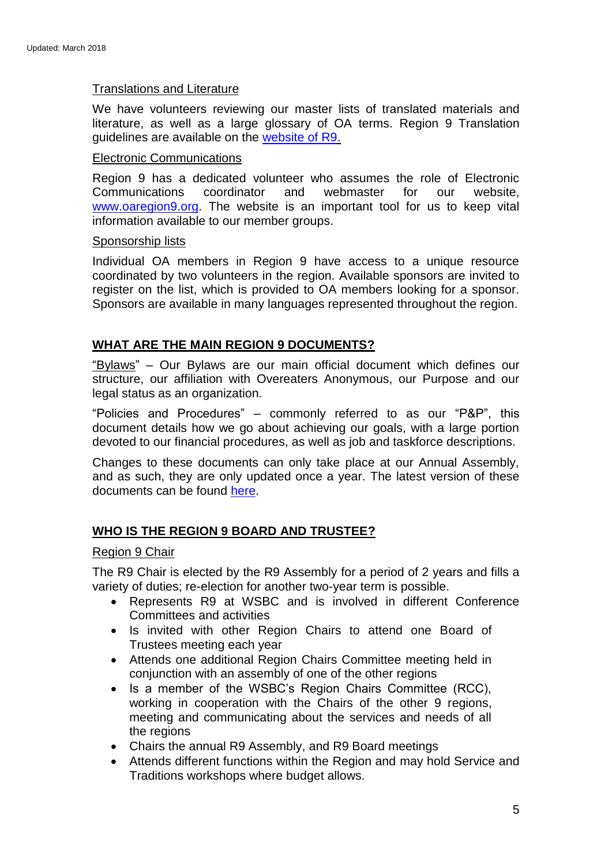#### Translations and Literature

We have volunteers reviewing our master lists of translated materials and literature, as well as a large glossary of OA terms. Region 9 Translation guidelines are available on the [website of R9.](http://www.oaregion9.org/service/translation-of-oa-literature/)

#### Electronic Communications

Region 9 has a dedicated volunteer who assumes the role of Electronic Communications coordinator and webmaster for our website, [www.oaregion9.org.](http://www.oaregion9.org/) The website is an important tool for us to keep vital information available to our member groups.

#### Sponsorship lists

Individual OA members in Region 9 have access to a unique resource coordinated by two volunteers in the region. Available sponsors are invited to register on the list, which is provided to OA members looking for a sponsor. Sponsors are available in many languages represented throughout the region.

## **WHAT ARE THE MAIN REGION 9 DOCUMENTS?**

"Bylaws" – Our Bylaws are our main official document which defines our structure, our affiliation with Overeaters Anonymous, our Purpose and our legal status as an organization.

"Policies and Procedures" – commonly referred to as our "P&P", this document details how we go about achieving our goals, with a large portion devoted to our financial procedures, as well as job and taskforce descriptions.

Changes to these documents can only take place at our Annual Assembly, and as such, they are only updated once a year. The latest version of these documents can be found [here.](http://www.oaregion9.org/service/bylaws-committee/)

## **WHO IS THE REGION 9 BOARD AND TRUSTEE?**

#### Region 9 Chair

The R9 Chair is elected by the R9 Assembly for a period of 2 years and fills a variety of duties; re-election for another two-year term is possible.

- Represents R9 at WSBC and is involved in different Conference Committees and activities
- Is invited with other Region Chairs to attend one Board of Trustees meeting each year
- Attends one additional Region Chairs Committee meeting held in conjunction with an assembly of one of the other regions
- Is a member of the WSBC's Region Chairs Committee (RCC), working in cooperation with the Chairs of the other 9 regions, meeting and communicating about the services and needs of all the regions
- Chairs the annual R9 Assembly, and R9 Board meetings
- Attends different functions within the Region and may hold Service and Traditions workshops where budget allows.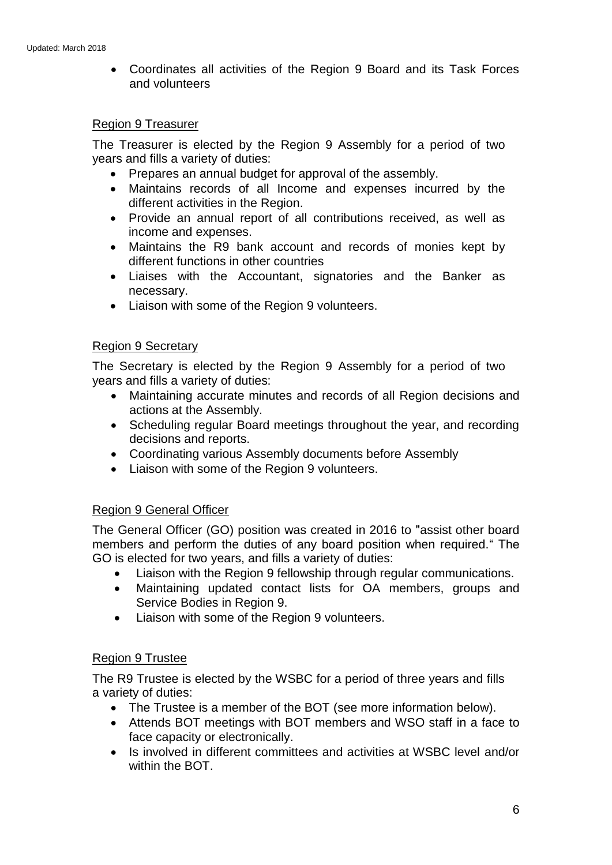• Coordinates all activities of the Region 9 Board and its Task Forces and volunteers

#### Region 9 Treasurer

The Treasurer is elected by the Region 9 Assembly for a period of two years and fills a variety of duties:

- Prepares an annual budget for approval of the assembly.
- Maintains records of all Income and expenses incurred by the different activities in the Region.
- Provide an annual report of all contributions received, as well as income and expenses.
- Maintains the R9 bank account and records of monies kept by different functions in other countries
- Liaises with the Accountant, signatories and the Banker as necessary.
- Liaison with some of the Region 9 volunteers.

## Region 9 Secretary

The Secretary is elected by the Region 9 Assembly for a period of two years and fills a variety of duties:

- Maintaining accurate minutes and records of all Region decisions and actions at the Assembly.
- Scheduling regular Board meetings throughout the year, and recording decisions and reports.
- Coordinating various Assembly documents before Assembly
- Liaison with some of the Region 9 volunteers.

## Region 9 General Officer

The General Officer (GO) position was created in 2016 to "assist other board members and perform the duties of any board position when required." The GO is elected for two years, and fills a variety of duties:

- Liaison with the Region 9 fellowship through regular communications.
- Maintaining updated contact lists for OA members, groups and Service Bodies in Region 9.
- Liaison with some of the Region 9 volunteers.

## Region 9 Trustee

The R9 Trustee is elected by the WSBC for a period of three years and fills a variety of duties:

- The Trustee is a member of the BOT (see more information below).
- Attends BOT meetings with BOT members and WSO staff in a face to face capacity or electronically.
- Is involved in different committees and activities at WSBC level and/or within the BOT.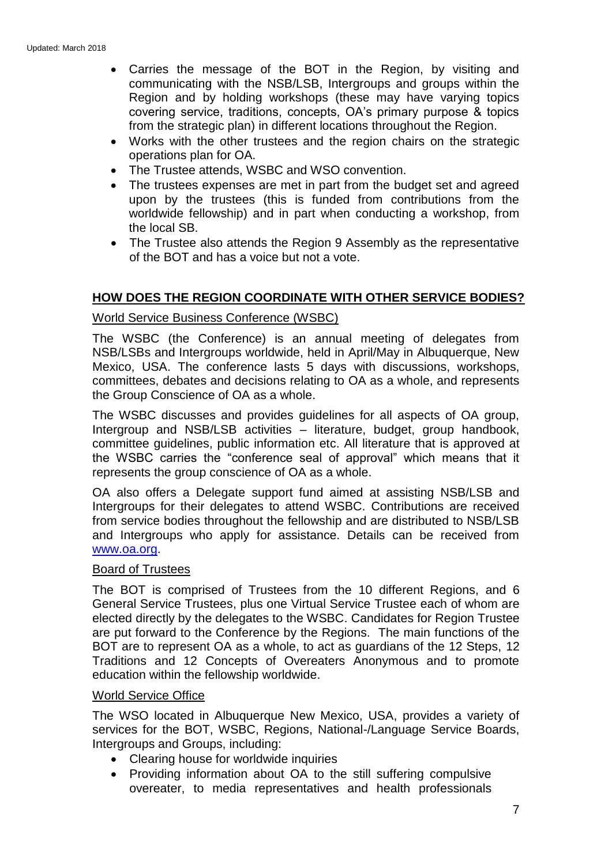- Carries the message of the BOT in the Region, by visiting and communicating with the NSB/LSB, Intergroups and groups within the Region and by holding workshops (these may have varying topics covering service, traditions, concepts, OA's primary purpose & topics from the strategic plan) in different locations throughout the Region.
- Works with the other trustees and the region chairs on the strategic operations plan for OA.
- The Trustee attends, WSBC and WSO convention.
- The trustees expenses are met in part from the budget set and agreed upon by the trustees (this is funded from contributions from the worldwide fellowship) and in part when conducting a workshop, from the local SB.
- The Trustee also attends the Region 9 Assembly as the representative of the BOT and has a voice but not a vote.

## **HOW DOES THE REGION COORDINATE WITH OTHER SERVICE BODIES?**

#### World Service Business Conference (WSBC)

The WSBC (the Conference) is an annual meeting of delegates from NSB/LSBs and Intergroups worldwide, held in April/May in Albuquerque, New Mexico, USA. The conference lasts 5 days with discussions, workshops, committees, debates and decisions relating to OA as a whole, and represents the Group Conscience of OA as a whole.

The WSBC discusses and provides guidelines for all aspects of OA group, Intergroup and NSB/LSB activities – literature, budget, group handbook, committee guidelines, public information etc. All literature that is approved at the WSBC carries the "conference seal of approval" which means that it represents the group conscience of OA as a whole.

OA also offers a Delegate support fund aimed at assisting NSB/LSB and Intergroups for their delegates to attend WSBC. Contributions are received from service bodies throughout the fellowship and are distributed to NSB/LSB and Intergroups who apply for assistance. Details can be received from [www.oa.org.](http://www.oa.org/)

#### Board of Trustees

The BOT is comprised of Trustees from the 10 different Regions, and 6 General Service Trustees, plus one Virtual Service Trustee each of whom are elected directly by the delegates to the WSBC. Candidates for Region Trustee are put forward to the Conference by the Regions. The main functions of the BOT are to represent OA as a whole, to act as guardians of the 12 Steps, 12 Traditions and 12 Concepts of Overeaters Anonymous and to promote education within the fellowship worldwide.

#### World Service Office

The WSO located in Albuquerque New Mexico, USA, provides a variety of services for the BOT, WSBC, Regions, National-/Language Service Boards, Intergroups and Groups, including:

- Clearing house for worldwide inquiries
- Providing information about OA to the still suffering compulsive overeater, to media representatives and health professionals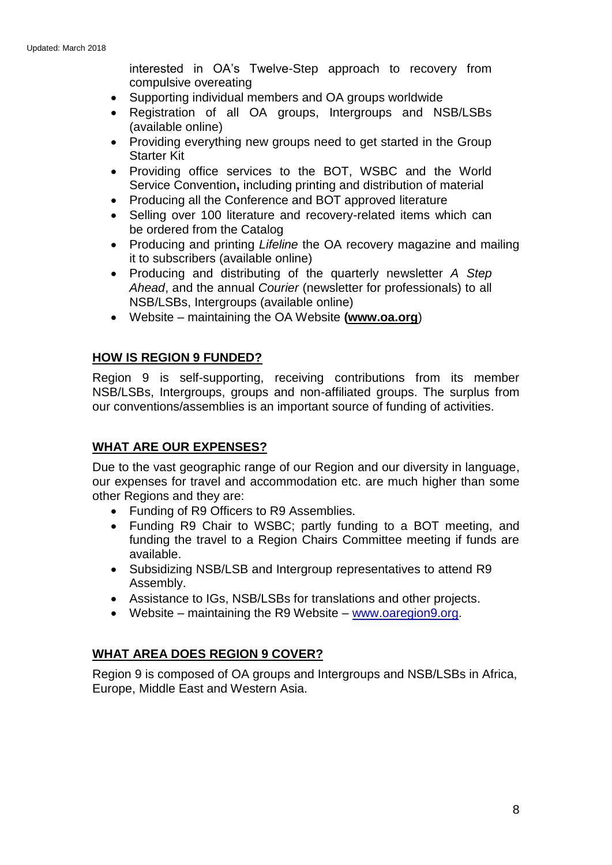interested in OA's Twelve-Step approach to recovery from compulsive overeating

- Supporting individual members and OA groups worldwide
- Registration of all OA groups, Intergroups and NSB/LSBs (available online)
- Providing everything new groups need to get started in the Group Starter Kit
- Providing office services to the BOT, WSBC and the World Service Convention**,** including printing and distribution of material
- Producing all the Conference and BOT approved literature
- Selling over 100 literature and recovery-related items which can be ordered from the Catalog
- Producing and printing *Lifeline* the OA recovery magazine and mailing it to subscribers (available online)
- Producing and distributing of the quarterly newsletter *A Step Ahead*, and the annual *Courier* (newsletter for professionals) to all NSB/LSBs, Intergroups (available online)
- Website maintaining the OA Website **[\(www.oa.org](http://www.oa.org/)**)

## **HOW IS REGION 9 FUNDED?**

Region 9 is self-supporting, receiving contributions from its member NSB/LSBs, Intergroups, groups and non-affiliated groups. The surplus from our conventions/assemblies is an important source of funding of activities.

## **WHAT ARE OUR EXPENSES?**

Due to the vast geographic range of our Region and our diversity in language, our expenses for travel and accommodation etc. are much higher than some other Regions and they are:

- Funding of R9 Officers to R9 Assemblies.
- Funding R9 Chair to WSBC; partly funding to a BOT meeting, and funding the travel to a Region Chairs Committee meeting if funds are available.
- Subsidizing NSB/LSB and Intergroup representatives to attend R9 Assembly.
- Assistance to IGs, NSB/LSBs for translations and other projects.
- Website maintaining the R9 Website [www.oaregion9.org.](http://www.oaregion9.org/)

## **WHAT AREA DOES REGION 9 COVER?**

Region 9 is composed of OA groups and Intergroups and NSB/LSBs in Africa, Europe, Middle East and Western Asia.